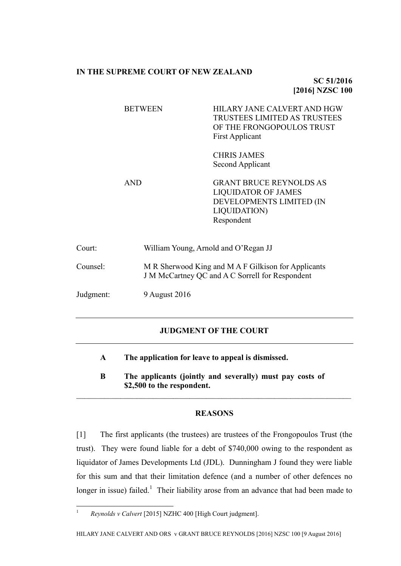## **IN THE SUPREME COURT OF NEW ZEALAND**

**SC 51/2016 [2016] NZSC 100**

|           | <b>BETWEEN</b> | HILARY JANE CALVERT AND HGW<br><b>TRUSTEES LIMITED AS TRUSTEES</b><br>OF THE FRONGOPOULOS TRUST<br>First Applicant             |  |
|-----------|----------------|--------------------------------------------------------------------------------------------------------------------------------|--|
|           |                | <b>CHRIS JAMES</b><br>Second Applicant                                                                                         |  |
|           | <b>AND</b>     | <b>GRANT BRUCE REYNOLDS AS</b><br><b>LIQUIDATOR OF JAMES</b><br>DEVELOPMENTS LIMITED (IN<br><b>LIQUIDATION</b> )<br>Respondent |  |
| Court:    |                | William Young, Arnold and O'Regan JJ                                                                                           |  |
| Counsel:  |                | M R Sherwood King and M A F Gilkison for Applicants<br>J M McCartney QC and A C Sorrell for Respondent                         |  |
| Judgment: | 9 August 2016  |                                                                                                                                |  |

## **JUDGMENT OF THE COURT**

- **A The application for leave to appeal is dismissed.**
- **B The applicants (jointly and severally) must pay costs of \$2,500 to the respondent.**

 $\mathcal{L}_\mathcal{L} = \{ \mathcal{L}_\mathcal{L} = \{ \mathcal{L}_\mathcal{L} = \{ \mathcal{L}_\mathcal{L} = \{ \mathcal{L}_\mathcal{L} = \{ \mathcal{L}_\mathcal{L} = \{ \mathcal{L}_\mathcal{L} = \{ \mathcal{L}_\mathcal{L} = \{ \mathcal{L}_\mathcal{L} = \{ \mathcal{L}_\mathcal{L} = \{ \mathcal{L}_\mathcal{L} = \{ \mathcal{L}_\mathcal{L} = \{ \mathcal{L}_\mathcal{L} = \{ \mathcal{L}_\mathcal{L} = \{ \mathcal{L}_\mathcal{$ 

## **REASONS**

[1] The first applicants (the trustees) are trustees of the Frongopoulos Trust (the trust). They were found liable for a debt of \$740,000 owing to the respondent as liquidator of James Developments Ltd (JDL). Dunningham J found they were liable for this sum and that their limitation defence (and a number of other defences no longer in issue) failed.<sup>1</sup> Their liability arose from an advance that had been made to

<span id="page-0-0"></span> $\bar{1}$ <sup>1</sup> *Reynolds v Calvert* [2015] NZHC 400 [High Court judgment].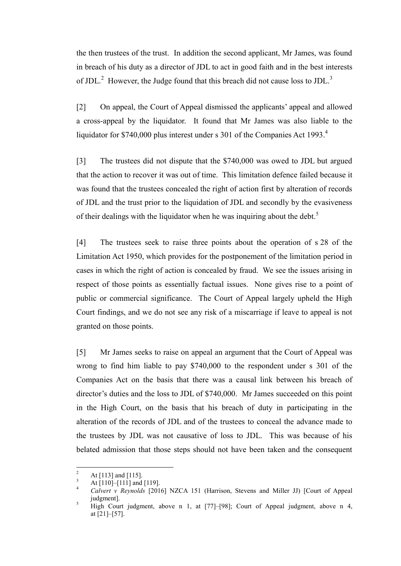the then trustees of the trust. In addition the second applicant, Mr James, was found in breach of his duty as a director of JDL to act in good faith and in the best interests of JDL. $^2$  However, the Judge found that this breach did not cause loss to JDL. $^3$ 

[2] On appeal, the Court of Appeal dismissed the applicants' appeal and allowed a cross-appeal by the liquidator. It found that Mr James was also liable to the liquidator for \$740,000 plus interest under s 301 of the Companies Act 1993.<sup>4</sup>

<span id="page-1-0"></span>[3] The trustees did not dispute that the \$740,000 was owed to JDL but argued that the action to recover it was out of time. This limitation defence failed because it was found that the trustees concealed the right of action first by alteration of records of JDL and the trust prior to the liquidation of JDL and secondly by the evasiveness of their dealings with the liquidator when he was inquiring about the debt.<sup>5</sup>

[4] The trustees seek to raise three points about the operation of s 28 of the Limitation Act 1950, which provides for the postponement of the limitation period in cases in which the right of action is concealed by fraud. We see the issues arising in respect of those points as essentially factual issues. None gives rise to a point of public or commercial significance. The Court of Appeal largely upheld the High Court findings, and we do not see any risk of a miscarriage if leave to appeal is not granted on those points.

[5] Mr James seeks to raise on appeal an argument that the Court of Appeal was wrong to find him liable to pay \$740,000 to the respondent under s 301 of the Companies Act on the basis that there was a causal link between his breach of director's duties and the loss to JDL of \$740,000. Mr James succeeded on this point in the High Court, on the basis that his breach of duty in participating in the alteration of the records of JDL and of the trustees to conceal the advance made to the trustees by JDL was not causative of loss to JDL. This was because of his belated admission that those steps should not have been taken and the consequent

 $\overline{c}$  $\frac{2}{3}$  At [113] and [115].

 $\frac{3}{4}$  At [110]–[111] and [119].

<sup>4</sup> *Calvert v Reynolds* [2016] NZCA 151 (Harrison, Stevens and Miller JJ) [Court of Appeal judgment].

<sup>5</sup> High Court judgment, above n [1,](#page-0-0) at [77]–[98]; Court of Appeal judgment, above n [4,](#page-1-0) at [21]–[57].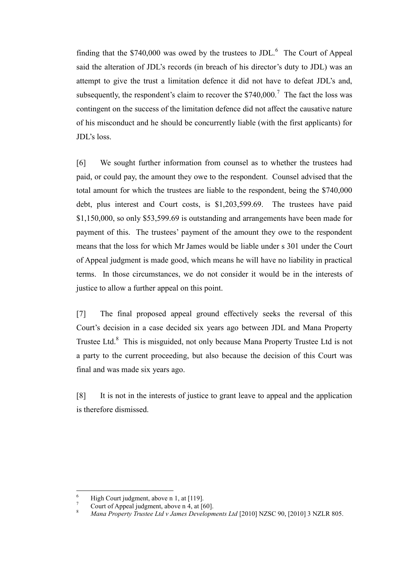finding that the  $$740,000$  was owed by the trustees to JDL.<sup>6</sup> The Court of Appeal said the alteration of JDL's records (in breach of his director's duty to JDL) was an attempt to give the trust a limitation defence it did not have to defeat JDL's and, subsequently, the respondent's claim to recover the  $$740,000$ .<sup>7</sup> The fact the loss was contingent on the success of the limitation defence did not affect the causative nature of his misconduct and he should be concurrently liable (with the first applicants) for JDL's loss.

[6] We sought further information from counsel as to whether the trustees had paid, or could pay, the amount they owe to the respondent. Counsel advised that the total amount for which the trustees are liable to the respondent, being the \$740,000 debt, plus interest and Court costs, is \$1,203,599.69. The trustees have paid \$1,150,000, so only \$53,599.69 is outstanding and arrangements have been made for payment of this. The trustees' payment of the amount they owe to the respondent means that the loss for which Mr James would be liable under s 301 under the Court of Appeal judgment is made good, which means he will have no liability in practical terms. In those circumstances, we do not consider it would be in the interests of justice to allow a further appeal on this point.

[7] The final proposed appeal ground effectively seeks the reversal of this Court's decision in a case decided six years ago between JDL and Mana Property Trustee Ltd.<sup>8</sup> This is misguided, not only because Mana Property Trustee Ltd is not a party to the current proceeding, but also because the decision of this Court was final and was made six years ago.

[8] It is not in the interests of justice to grant leave to appeal and the application is therefore dismissed.

 $\overline{a}$ 

<sup>&</sup>lt;sup>6</sup> High Court judgment, above n [1,](#page-0-0) at [119].

Court of Appeal judgment, above n  $\overline{4}$ , at [60].

<sup>8</sup> *Mana Property Trustee Ltd v James Developments Ltd* [2010] NZSC 90, [2010] 3 NZLR 805.